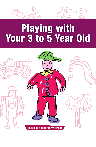



## Playing with Your 3 to 5 Year Old

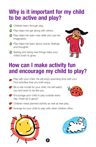## **Why is it important for my child to be active and play?**

- **1** Children learn through play.
- **(1)** Play helps her get along with others.
- **1** Play helps her learn new skills and use her imagination.
- **1** Play helps her learn about words, feelings and thoughts.
- **1** Seeing and doing new things helps your child's brain to grow.



## **How can I make activity fun and encourage my child to play?**

- $\bullet$  Play with your child. He will enjoy spending time with you! Find activities that you both enjoy.
- 45 Be a role model for your child. He will watch you and want to be like you.
- 45 Encourage your child to play outside every day. Fresh air is good!



- 45 Children need planned activity as well as free play.
- **45** Arrange for your child to play with other children often.

2



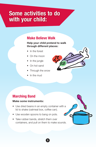## **Some activities to do with your child:**

#### **Make Believe Walk**

#### **Help your child pretend to walk through different places:**

- In the forest
- On the moon
- In the jungle
- On hot sand
- Through the snow
- In the mud



#### **Marching Band**

#### **Make some instruments:**

- Use dried beans in an empty container with a lid to shake (oatmeal box, coffee can).
- Use wooden spoons to bang on pots.
- Take rubber bands, stretch them over containers, and pull on them to make sounds.



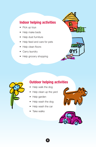#### **Indoor helping activities**

- Pick up toys
- Help make beds
- Help dust furniture
- Help feed and care for pets
- Help clean floors
- Carry laundry
- Help grocery shopping







#### **Outdoor helping activities**

- Help walk the dog
- Help clean up the yard
- Help garden
- Help wash the dog
- Help wash the car
- Take walks



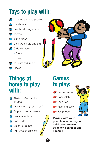## **Toys to play with:**

- **14** Light weight hand paddles
- **14** Hula hoops
- **14** Beach balls/large balls
- **14** Tricycle
- **1** Jump ropes
- **14** Light weight bat and ball
- **b** Child-size toys:
	- Broom
	- Rake
- **1** Toy cars and trucks
- **A** Blocks



## **Things at home to play with:**

- **10** Plastic coffee can lids (Frisbee™)
- **1** Aluminum foil (make a ball)
- *<sup>1</sup>* Empty boxes or baskets
- **1** Newspaper balls
- **1** Sock balls
- **1** Dress up clothes
- **C** Run through sprinkler



5

## **Games to play:**

- <sup>5</sup> Dance to music
- **各** Hopscotch
- Leap frog
- Hide-and-seek
- Jump rope